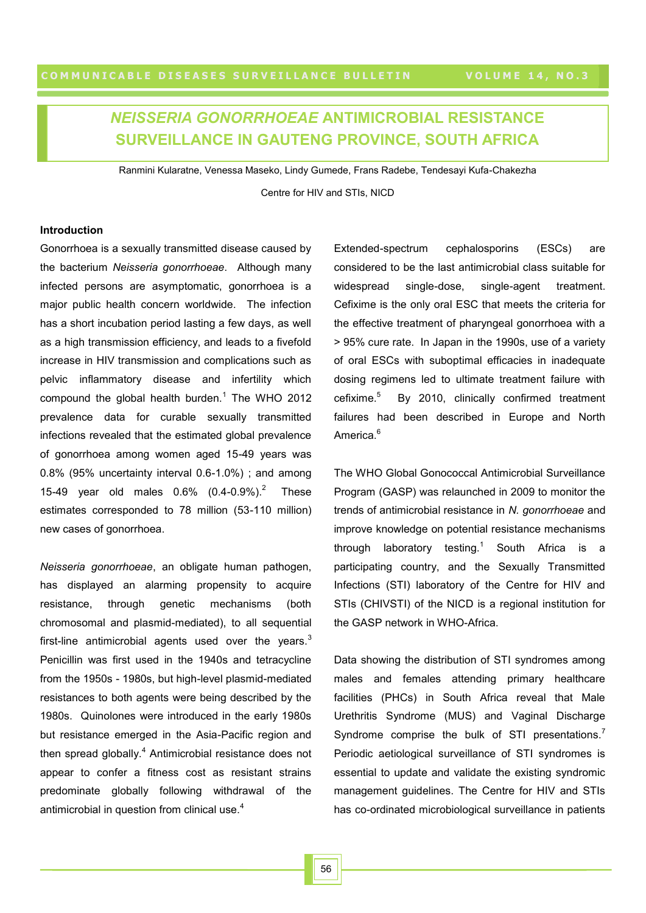# *NEISSERIA GONORRHOEAE* **ANTIMICROBIAL RESISTANCE SURVEILLANCE IN GAUTENG PROVINCE, SOUTH AFRICA**

Ranmini Kularatne, Venessa Maseko, Lindy Gumede, Frans Radebe, Tendesayi Kufa-Chakezha Centre for HIV and STIs, NICD

## **Introduction**

Gonorrhoea is a sexually transmitted disease caused by the bacterium *Neisseria gonorrhoeae*. Although many infected persons are asymptomatic, gonorrhoea is a major public health concern worldwide. The infection has a short incubation period lasting a few days, as well as a high transmission efficiency, and leads to a fivefold increase in HIV transmission and complications such as pelvic inflammatory disease and infertility which compound the global health burden. $1$  The WHO 2012 prevalence data for curable sexually transmitted infections revealed that the estimated global prevalence of gonorrhoea among women aged 15-49 years was 0.8% (95% uncertainty interval 0.6-1.0%) ; and among 15-49 year old males  $0.6\%$   $(0.4-0.9\%)^2$  These estimates corresponded to 78 million (53-110 million) new cases of gonorrhoea.

*Neisseria gonorrhoeae*, an obligate human pathogen, has displayed an alarming propensity to acquire resistance, through genetic mechanisms (both chromosomal and plasmid-mediated), to all sequential first-line antimicrobial agents used over the years. $3$ Penicillin was first used in the 1940s and tetracycline from the 1950s - 1980s, but high-level plasmid-mediated resistances to both agents were being described by the 1980s. Quinolones were introduced in the early 1980s but resistance emerged in the Asia-Pacific region and then spread globally.<sup>4</sup> Antimicrobial resistance does not appear to confer a fitness cost as resistant strains predominate globally following withdrawal of the antimicrobial in question from clinical use. $4$ 

Extended-spectrum cephalosporins (ESCs) are considered to be the last antimicrobial class suitable for widespread single-dose, single-agent treatment. Cefixime is the only oral ESC that meets the criteria for the effective treatment of pharyngeal gonorrhoea with a > 95% cure rate. In Japan in the 1990s, use of a variety of oral ESCs with suboptimal efficacies in inadequate dosing regimens led to ultimate treatment failure with cefixime.<sup>5</sup> By 2010, clinically confirmed treatment failures had been described in Europe and North America<sup>6</sup>

The WHO Global Gonococcal Antimicrobial Surveillance Program (GASP) was relaunched in 2009 to monitor the trends of antimicrobial resistance in *N. gonorrhoeae* and improve knowledge on potential resistance mechanisms through laboratory testing.<sup>1</sup> South Africa is a participating country, and the Sexually Transmitted Infections (STI) laboratory of the Centre for HIV and STIs (CHIVSTI) of the NICD is a regional institution for the GASP network in WHO-Africa.

Data showing the distribution of STI syndromes among males and females attending primary healthcare facilities (PHCs) in South Africa reveal that Male Urethritis Syndrome (MUS) and Vaginal Discharge Syndrome comprise the bulk of STI presentations.<sup>7</sup> Periodic aetiological surveillance of STI syndromes is essential to update and validate the existing syndromic management guidelines. The Centre for HIV and STIs has co-ordinated microbiological surveillance in patients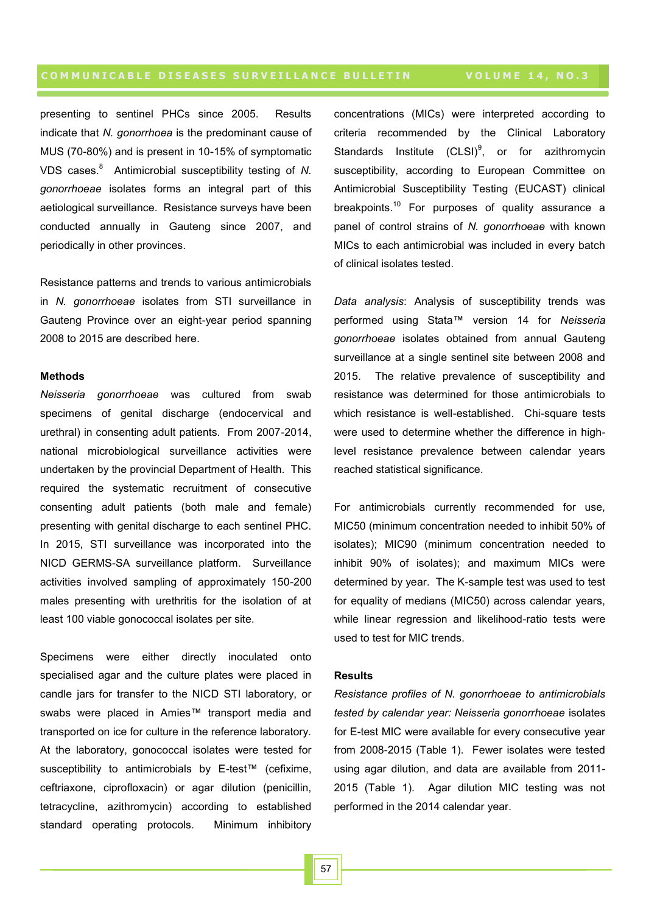presenting to sentinel PHCs since 2005. Results indicate that *N. gonorrhoea* is the predominant cause of MUS (70-80%) and is present in 10-15% of symptomatic VDS cases.<sup>8</sup> Antimicrobial susceptibility testing of *N. gonorrhoeae* isolates forms an integral part of this aetiological surveillance. Resistance surveys have been conducted annually in Gauteng since 2007, and periodically in other provinces.

Resistance patterns and trends to various antimicrobials in *N. gonorrhoeae* isolates from STI surveillance in Gauteng Province over an eight-year period spanning 2008 to 2015 are described here.

### **Methods**

*Neisseria gonorrhoeae* was cultured from swab specimens of genital discharge (endocervical and urethral) in consenting adult patients. From 2007-2014, national microbiological surveillance activities were undertaken by the provincial Department of Health. This required the systematic recruitment of consecutive consenting adult patients (both male and female) presenting with genital discharge to each sentinel PHC. In 2015, STI surveillance was incorporated into the NICD GERMS-SA surveillance platform. Surveillance activities involved sampling of approximately 150-200 males presenting with urethritis for the isolation of at least 100 viable gonococcal isolates per site.

Specimens were either directly inoculated onto specialised agar and the culture plates were placed in candle jars for transfer to the NICD STI laboratory, or swabs were placed in Amies™ transport media and transported on ice for culture in the reference laboratory. At the laboratory, gonococcal isolates were tested for susceptibility to antimicrobials by E-test™ (cefixime, ceftriaxone, ciprofloxacin) or agar dilution (penicillin, tetracycline, azithromycin) according to established standard operating protocols. Minimum inhibitory

concentrations (MICs) were interpreted according to criteria recommended by the Clinical Laboratory Standards Institute  $(CLSI)^9$ , or for azithromycin susceptibility, according to European Committee on Antimicrobial Susceptibility Testing (EUCAST) clinical breakpoints.<sup>10</sup> For purposes of quality assurance a panel of control strains of *N. gonorrhoeae* with known MICs to each antimicrobial was included in every batch of clinical isolates tested.

*Data analysis*: Analysis of susceptibility trends was performed using Stata™ version 14 for *Neisseria gonorrhoeae* isolates obtained from annual Gauteng surveillance at a single sentinel site between 2008 and 2015. The relative prevalence of susceptibility and resistance was determined for those antimicrobials to which resistance is well-established. Chi-square tests were used to determine whether the difference in highlevel resistance prevalence between calendar years reached statistical significance.

For antimicrobials currently recommended for use, MIC50 (minimum concentration needed to inhibit 50% of isolates); MIC90 (minimum concentration needed to inhibit 90% of isolates); and maximum MICs were determined by year. The K-sample test was used to test for equality of medians (MIC50) across calendar years, while linear regression and likelihood-ratio tests were used to test for MIC trends.

### **Results**

*Resistance profiles of N. gonorrhoeae to antimicrobials tested by calendar year: Neisseria gonorrhoeae* isolates for E-test MIC were available for every consecutive year from 2008-2015 (Table 1). Fewer isolates were tested using agar dilution, and data are available from 2011- 2015 (Table 1). Agar dilution MIC testing was not performed in the 2014 calendar year.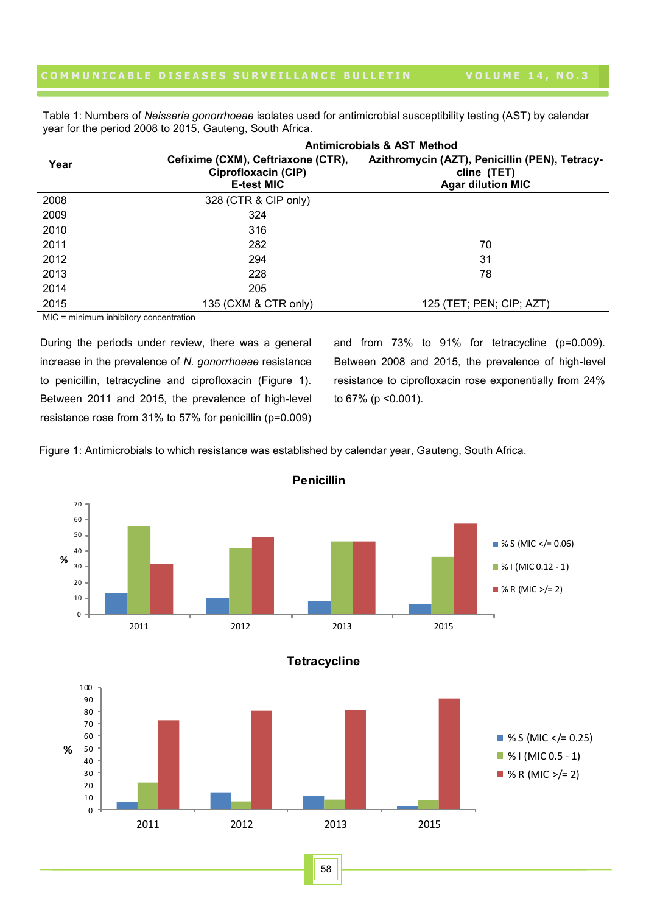Table 1: Numbers of *Neisseria gonorrhoeae* isolates used for antimicrobial susceptibility testing (AST) by calendar year for the period 2008 to 2015, Gauteng, South Africa.

|      | <b>Antimicrobials &amp; AST Method</b>                                         |                                                                                           |  |  |  |  |
|------|--------------------------------------------------------------------------------|-------------------------------------------------------------------------------------------|--|--|--|--|
| Year | Cefixime (CXM), Ceftriaxone (CTR),<br>Ciprofloxacin (CIP)<br><b>E-test MIC</b> | Azithromycin (AZT), Penicillin (PEN), Tetracy-<br>cline (TET)<br><b>Agar dilution MIC</b> |  |  |  |  |
| 2008 | 328 (CTR & CIP only)                                                           |                                                                                           |  |  |  |  |
| 2009 | 324                                                                            |                                                                                           |  |  |  |  |
| 2010 | 316                                                                            |                                                                                           |  |  |  |  |
| 2011 | 282                                                                            | 70                                                                                        |  |  |  |  |
| 2012 | 294                                                                            | 31                                                                                        |  |  |  |  |
| 2013 | 228                                                                            | 78                                                                                        |  |  |  |  |
| 2014 | 205                                                                            |                                                                                           |  |  |  |  |
| 2015 | 135 (CXM & CTR only)                                                           | 125 (TET; PEN; CIP; AZT)                                                                  |  |  |  |  |

MIC = minimum inhibitory concentration

During the periods under review, there was a general increase in the prevalence of *N. gonorrhoeae* resistance to penicillin, tetracycline and ciprofloxacin (Figure 1). Between 2011 and 2015, the prevalence of high-level resistance rose from 31% to 57% for penicillin (p=0.009) and from 73% to 91% for tetracycline (p=0.009). Between 2008 and 2015, the prevalence of high-level resistance to ciprofloxacin rose exponentially from 24% to 67% (p <0.001).

Figure 1: Antimicrobials to which resistance was established by calendar year, Gauteng, South Africa.



58

**Penicillin**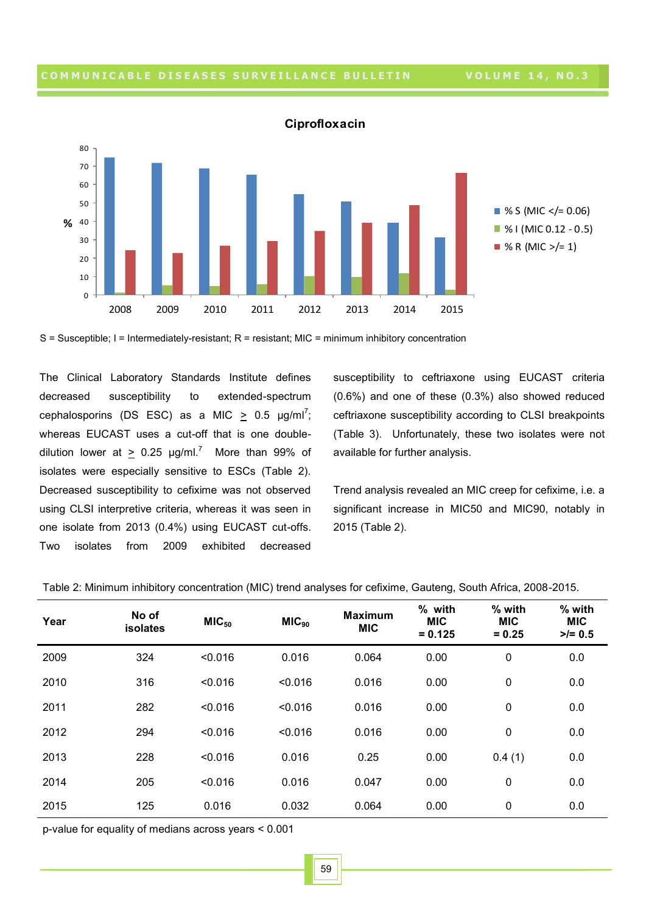

**Ciprofloxacin**

S = Susceptible; I = Intermediately-resistant; R = resistant; MIC = minimum inhibitory concentration

The Clinical Laboratory Standards Institute defines decreased susceptibility to extended-spectrum cephalosporins (DS ESC) as a MIC  $\geq$  0.5  $\mu$ g/ml<sup>7</sup>; whereas EUCAST uses a cut-off that is one doubledilution lower at  $\geq 0.25$  µg/ml.<sup>7</sup> More than 99% of isolates were especially sensitive to ESCs (Table 2). Decreased susceptibility to cefixime was not observed using CLSI interpretive criteria, whereas it was seen in one isolate from 2013 (0.4%) using EUCAST cut-offs. Two isolates from 2009 exhibited decreased

susceptibility to ceftriaxone using EUCAST criteria (0.6%) and one of these (0.3%) also showed reduced ceftriaxone susceptibility according to CLSI breakpoints (Table 3). Unfortunately, these two isolates were not available for further analysis.

Trend analysis revealed an MIC creep for cefixime, i.e. a significant increase in MIC50 and MIC90, notably in 2015 (Table 2).

| Year | No of<br>isolates | MIC <sub>50</sub> | MIC <sub>90</sub> | <b>Maximum</b><br><b>MIC</b> | % with<br><b>MIC</b><br>$= 0.125$ | % with<br><b>MIC</b><br>$= 0.25$ | % with<br><b>MIC</b><br>$>/- 0.5$ |
|------|-------------------|-------------------|-------------------|------------------------------|-----------------------------------|----------------------------------|-----------------------------------|
| 2009 | 324               | < 0.016           | 0.016             | 0.064                        | 0.00                              | 0                                | 0.0                               |
| 2010 | 316               | < 0.016           | < 0.016           | 0.016                        | 0.00                              | 0                                | 0.0                               |
| 2011 | 282               | < 0.016           | < 0.016           | 0.016                        | 0.00                              | 0                                | 0.0                               |
| 2012 | 294               | < 0.016           | < 0.016           | 0.016                        | 0.00                              | 0                                | 0.0                               |
| 2013 | 228               | < 0.016           | 0.016             | 0.25                         | 0.00                              | 0.4(1)                           | 0.0                               |
| 2014 | 205               | < 0.016           | 0.016             | 0.047                        | 0.00                              | 0                                | 0.0                               |
| 2015 | 125               | 0.016             | 0.032             | 0.064                        | 0.00                              | 0                                | 0.0                               |

Table 2: Minimum inhibitory concentration (MIC) trend analyses for cefixime, Gauteng, South Africa, 2008-2015.

p-value for equality of medians across years < 0.001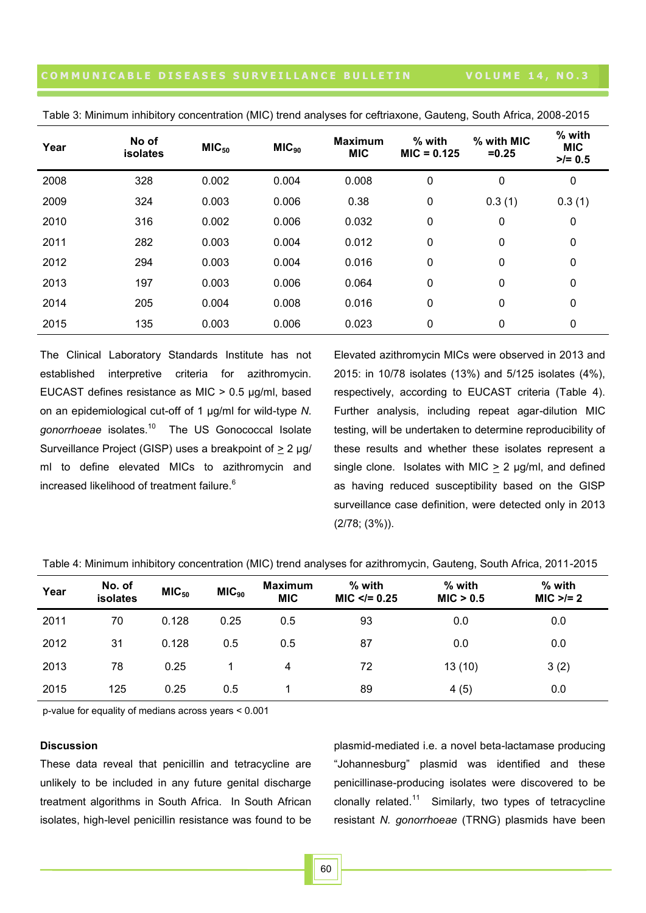| Year | No of<br><b>isolates</b> | MIC <sub>50</sub> | MIC <sub>90</sub> | <b>Maximum</b><br><b>MIC</b> | % with<br>$MIC = 0.125$ | % with MIC<br>$= 0.25$ | % with<br><b>MIC</b><br>$>/- 0.5$ |
|------|--------------------------|-------------------|-------------------|------------------------------|-------------------------|------------------------|-----------------------------------|
| 2008 | 328                      | 0.002             | 0.004             | 0.008                        | 0                       | 0                      | $\mathbf 0$                       |
| 2009 | 324                      | 0.003             | 0.006             | 0.38                         | 0                       | 0.3(1)                 | 0.3(1)                            |
| 2010 | 316                      | 0.002             | 0.006             | 0.032                        | 0                       | 0                      | $\mathbf 0$                       |
| 2011 | 282                      | 0.003             | 0.004             | 0.012                        | 0                       | 0                      | $\mathbf 0$                       |
| 2012 | 294                      | 0.003             | 0.004             | 0.016                        | 0                       | 0                      | $\mathbf 0$                       |
| 2013 | 197                      | 0.003             | 0.006             | 0.064                        | 0                       | 0                      | 0                                 |
| 2014 | 205                      | 0.004             | 0.008             | 0.016                        | 0                       | 0                      | $\mathbf 0$                       |
| 2015 | 135                      | 0.003             | 0.006             | 0.023                        | 0                       | 0                      | 0                                 |

Table 3: Minimum inhibitory concentration (MIC) trend analyses for ceftriaxone, Gauteng, South Africa, 2008-2015

The Clinical Laboratory Standards Institute has not established interpretive criteria for azithromycin. EUCAST defines resistance as MIC > 0.5 µg/ml, based on an epidemiological cut-off of 1 µg/ml for wild-type *N.*  gonorrhoeae isolates.<sup>10</sup> The US Gonococcal Isolate Surveillance Project (GISP) uses a breakpoint of > 2 µg/ ml to define elevated MICs to azithromycin and increased likelihood of treatment failure.<sup>6</sup>

Elevated azithromycin MICs were observed in 2013 and 2015: in 10/78 isolates (13%) and 5/125 isolates (4%), respectively, according to EUCAST criteria (Table 4). Further analysis, including repeat agar-dilution MIC testing, will be undertaken to determine reproducibility of these results and whether these isolates represent a single clone. Isolates with MIC  $> 2$  µg/ml, and defined as having reduced susceptibility based on the GISP surveillance case definition, were detected only in 2013 (2/78; (3%)).

| Year | No. of<br>isolates | MIC <sub>50</sub> | MIC <sub>90</sub> | <b>Maximum</b><br><b>MIC</b> | % with<br>$MIC < = 0.25$ | $%$ with<br>MIC > 0.5 | % with<br>$MIC > = 2$ |
|------|--------------------|-------------------|-------------------|------------------------------|--------------------------|-----------------------|-----------------------|
| 2011 | 70                 | 0.128             | 0.25              | 0.5                          | 93                       | 0.0                   | 0.0                   |
| 2012 | 31                 | 0.128             | 0.5               | 0.5                          | 87                       | 0.0                   | 0.0                   |
| 2013 | 78                 | 0.25              |                   | 4                            | 72                       | 13(10)                | 3(2)                  |
| 2015 | 125                | 0.25              | 0.5               |                              | 89                       | 4(5)                  | 0.0                   |

Table 4: Minimum inhibitory concentration (MIC) trend analyses for azithromycin, Gauteng, South Africa, 2011-2015

p-value for equality of medians across years < 0.001

#### **Discussion**

These data reveal that penicillin and tetracycline are unlikely to be included in any future genital discharge treatment algorithms in South Africa. In South African isolates, high-level penicillin resistance was found to be plasmid-mediated i.e. a novel beta-lactamase producing "Johannesburg" plasmid was identified and these penicillinase-producing isolates were discovered to be clonally related.<sup>11</sup> Similarly, two types of tetracycline resistant *N. gonorrhoeae* (TRNG) plasmids have been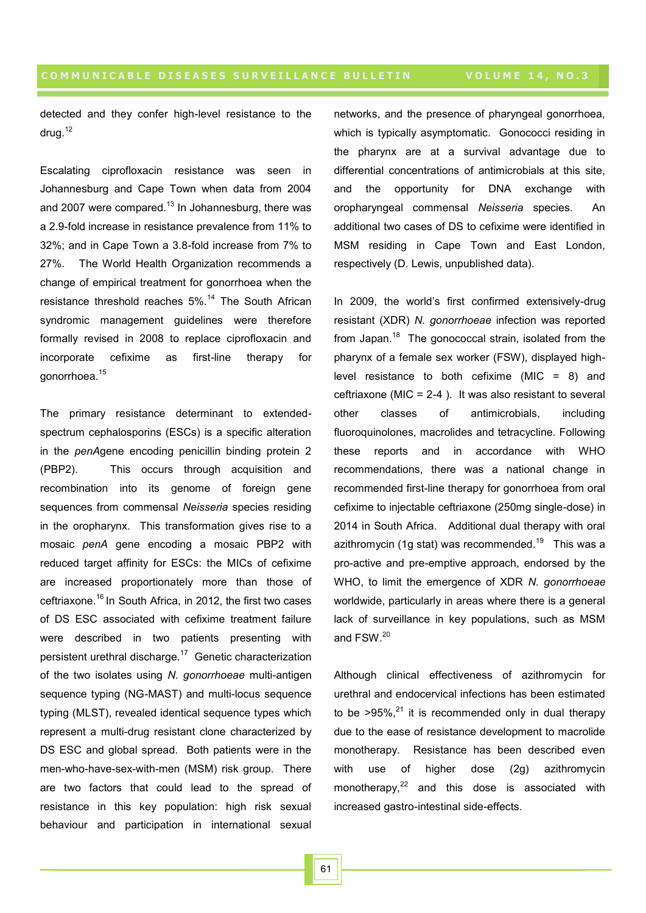detected and they confer high-level resistance to the drug. $12$ 

Escalating ciprofloxacin resistance was seen in Johannesburg and Cape Town when data from 2004 and 2007 were compared.<sup>13</sup> In Johannesburg, there was a 2.9-fold increase in resistance prevalence from 11% to 32%; and in Cape Town a 3.8-fold increase from 7% to 27%. The World Health Organization recommends a change of empirical treatment for gonorrhoea when the resistance threshold reaches 5%.<sup>14</sup> The South African syndromic management guidelines were therefore formally revised in 2008 to replace ciprofloxacin and incorporate cefixime as first-line therapy for gonorrhoea.<sup>15</sup>

The primary resistance determinant to extendedspectrum cephalosporins (ESCs) is a specific alteration in the *penA*gene encoding penicillin binding protein 2 (PBP2). This occurs through acquisition and recombination into its genome of foreign gene sequences from commensal *Neisseria* species residing in the oropharynx. This transformation gives rise to a mosaic *penA* gene encoding a mosaic PBP2 with reduced target affinity for ESCs: the MICs of cefixime are increased proportionately more than those of ceftriaxone.<sup>16</sup> In South Africa, in 2012, the first two cases of DS ESC associated with cefixime treatment failure were described in two patients presenting with persistent urethral discharge.<sup>17</sup> Genetic characterization of the two isolates using *N. gonorrhoeae* multi-antigen sequence typing (NG-MAST) and multi-locus sequence typing (MLST), revealed identical sequence types which represent a multi-drug resistant clone characterized by DS ESC and global spread. Both patients were in the men-who-have-sex-with-men (MSM) risk group. There are two factors that could lead to the spread of resistance in this key population: high risk sexual behaviour and participation in international sexual

networks, and the presence of pharyngeal gonorrhoea, which is typically asymptomatic. Gonococci residing in the pharynx are at a survival advantage due to differential concentrations of antimicrobials at this site, and the opportunity for DNA exchange with oropharyngeal commensal *Neisseria* species. An additional two cases of DS to cefixime were identified in MSM residing in Cape Town and East London, respectively (D. Lewis, unpublished data).

In 2009, the world's first confirmed extensively-drug resistant (XDR) *N. gonorrhoeae* infection was reported from Japan.<sup>18</sup> The gonococcal strain, isolated from the pharynx of a female sex worker (FSW), displayed highlevel resistance to both cefixime  $(MIC = 8)$  and ceftriaxone (MIC =  $2-4$  ). It was also resistant to several other classes of antimicrobials, including fluoroquinolones, macrolides and tetracycline. Following these reports and in accordance with WHO recommendations, there was a national change in recommended first-line therapy for gonorrhoea from oral cefixime to injectable ceftriaxone (250mg single-dose) in 2014 in South Africa. Additional dual therapy with oral azithromycin (1g stat) was recommended.<sup>19</sup> This was a pro-active and pre-emptive approach, endorsed by the WHO, to limit the emergence of XDR *N. gonorrhoeae*  worldwide, particularly in areas where there is a general lack of surveillance in key populations, such as MSM and FSW.<sup>20</sup>

Although clinical effectiveness of azithromycin for urethral and endocervical infections has been estimated to be  $>95\%$ ,<sup>21</sup> it is recommended only in dual therapy due to the ease of resistance development to macrolide monotherapy. Resistance has been described even with use of higher dose (2g) azithromycin monotherapy, $22$  and this dose is associated with increased gastro-intestinal side-effects.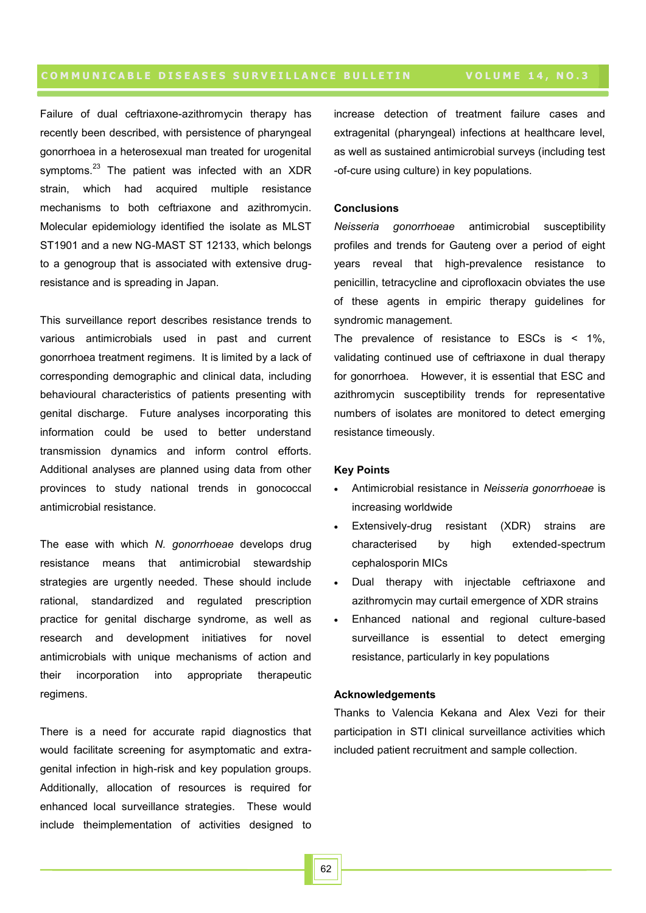Failure of dual ceftriaxone-azithromycin therapy has recently been described, with persistence of pharyngeal gonorrhoea in a heterosexual man treated for urogenital symptoms.<sup>23</sup> The patient was infected with an XDR strain, which had acquired multiple resistance mechanisms to both ceftriaxone and azithromycin. Molecular epidemiology identified the isolate as MLST ST1901 and a new NG-MAST ST 12133, which belongs to a genogroup that is associated with extensive drugresistance and is spreading in Japan.

This surveillance report describes resistance trends to various antimicrobials used in past and current gonorrhoea treatment regimens. It is limited by a lack of corresponding demographic and clinical data, including behavioural characteristics of patients presenting with genital discharge. Future analyses incorporating this information could be used to better understand transmission dynamics and inform control efforts. Additional analyses are planned using data from other provinces to study national trends in gonococcal antimicrobial resistance.

The ease with which *N. gonorrhoeae* develops drug resistance means that antimicrobial stewardship strategies are urgently needed. These should include rational, standardized and regulated prescription practice for genital discharge syndrome, as well as research and development initiatives for novel antimicrobials with unique mechanisms of action and their incorporation into appropriate therapeutic regimens.

There is a need for accurate rapid diagnostics that would facilitate screening for asymptomatic and extragenital infection in high-risk and key population groups. Additionally, allocation of resources is required for enhanced local surveillance strategies. These would include theimplementation of activities designed to

increase detection of treatment failure cases and extragenital (pharyngeal) infections at healthcare level, as well as sustained antimicrobial surveys (including test -of-cure using culture) in key populations.

### **Conclusions**

*Neisseria gonorrhoeae* antimicrobial susceptibility profiles and trends for Gauteng over a period of eight years reveal that high-prevalence resistance to penicillin, tetracycline and ciprofloxacin obviates the use of these agents in empiric therapy guidelines for syndromic management.

The prevalence of resistance to ESCs is  $\leq$  1%. validating continued use of ceftriaxone in dual therapy for gonorrhoea. However, it is essential that ESC and azithromycin susceptibility trends for representative numbers of isolates are monitored to detect emerging resistance timeously.

#### **Key Points**

- Antimicrobial resistance in *Neisseria gonorrhoeae* is increasing worldwide
- Extensively-drug resistant (XDR) strains are characterised by high extended-spectrum cephalosporin MICs
- Dual therapy with injectable ceftriaxone and azithromycin may curtail emergence of XDR strains
- Enhanced national and regional culture-based surveillance is essential to detect emerging resistance, particularly in key populations

### **Acknowledgements**

Thanks to Valencia Kekana and Alex Vezi for their participation in STI clinical surveillance activities which included patient recruitment and sample collection.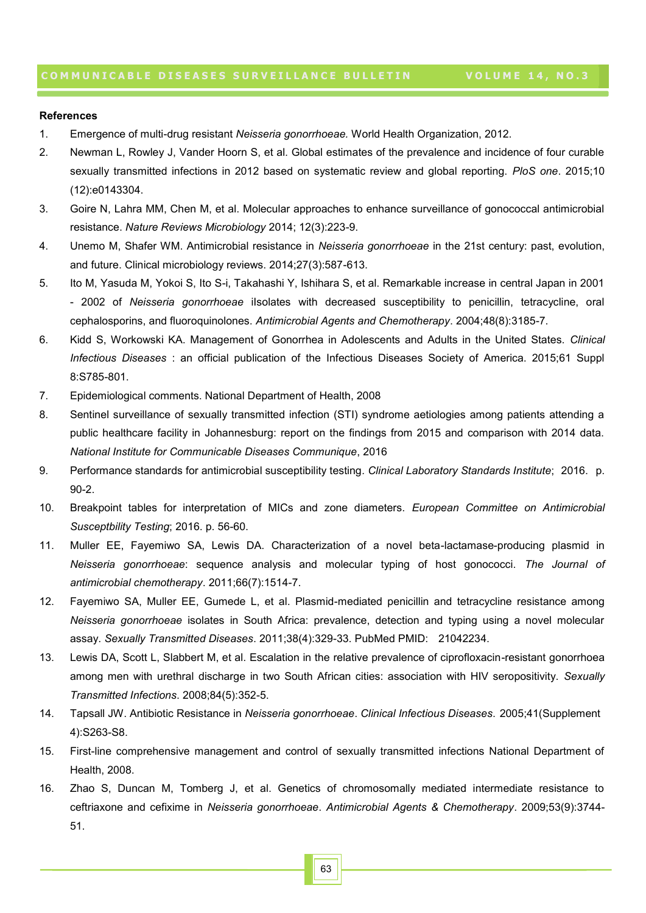#### **References**

- 1. Emergence of multi-drug resistant *Neisseria gonorrhoeae.* World Health Organization, 2012.
- 2. Newman L, Rowley J, Vander Hoorn S, et al. Global estimates of the prevalence and incidence of four curable sexually transmitted infections in 2012 based on systematic review and global reporting. *PloS one*. 2015;10 (12):e0143304.
- 3. Goire N, Lahra MM, Chen M, et al. Molecular approaches to enhance surveillance of gonococcal antimicrobial resistance. *Nature Reviews Microbiology* 2014; 12(3):223-9.
- 4. Unemo M, Shafer WM. Antimicrobial resistance in *Neisseria gonorrhoeae* in the 21st century: past, evolution, and future. Clinical microbiology reviews. 2014;27(3):587-613.
- 5. Ito M, Yasuda M, Yokoi S, Ito S-i, Takahashi Y, Ishihara S, et al. Remarkable increase in central Japan in 2001 - 2002 of *Neisseria gonorrhoeae* iIsolates with decreased susceptibility to penicillin, tetracycline, oral cephalosporins, and fluoroquinolones. *Antimicrobial Agents and Chemotherapy*. 2004;48(8):3185-7.
- 6. Kidd S, Workowski KA. Management of Gonorrhea in Adolescents and Adults in the United States. *Clinical Infectious Diseases* : an official publication of the Infectious Diseases Society of America. 2015;61 Suppl 8:S785-801.
- 7. Epidemiological comments. National Department of Health, 2008
- 8. Sentinel surveillance of sexually transmitted infection (STI) syndrome aetiologies among patients attending a public healthcare facility in Johannesburg: report on the findings from 2015 and comparison with 2014 data. *National Institute for Communicable Diseases Communique*, 2016
- 9. Performance standards for antimicrobial susceptibility testing*. Clinical Laboratory Standards Institute*; 2016. p. 90-2.
- 10. Breakpoint tables for interpretation of MICs and zone diameters. *European Committee on Antimicrobial Susceptbility Testing*; 2016. p. 56-60.
- 11. Muller EE, Fayemiwo SA, Lewis DA. Characterization of a novel beta-lactamase-producing plasmid in *Neisseria gonorrhoeae*: sequence analysis and molecular typing of host gonococci. *The Journal of antimicrobial chemotherapy*. 2011;66(7):1514-7.
- 12. Fayemiwo SA, Muller EE, Gumede L, et al. Plasmid-mediated penicillin and tetracycline resistance among *Neisseria gonorrhoeae* isolates in South Africa: prevalence, detection and typing using a novel molecular assay. *Sexually Transmitted Diseases*. 2011;38(4):329-33. PubMed PMID: 21042234.
- 13. Lewis DA, Scott L, Slabbert M, et al. Escalation in the relative prevalence of ciprofloxacin-resistant gonorrhoea among men with urethral discharge in two South African cities: association with HIV seropositivity. *Sexually Transmitted Infections*. 2008;84(5):352-5.
- 14. Tapsall JW. Antibiotic Resistance in *Neisseria gonorrhoeae*. *Clinical Infectious Diseases*. 2005;41(Supplement 4):S263-S8.
- 15. First-line comprehensive management and control of sexually transmitted infections National Department of Health, 2008.
- 16. Zhao S, Duncan M, Tomberg J, et al. Genetics of chromosomally mediated intermediate resistance to ceftriaxone and cefixime in *Neisseria gonorrhoeae*. *Antimicrobial Agents & Chemotherapy*. 2009;53(9):3744- 51.